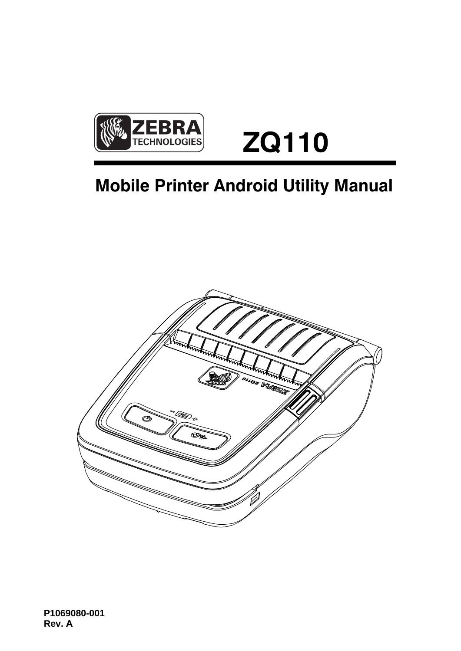

# **ZQ110**

## **Mobile Printer Android Utility Manual**

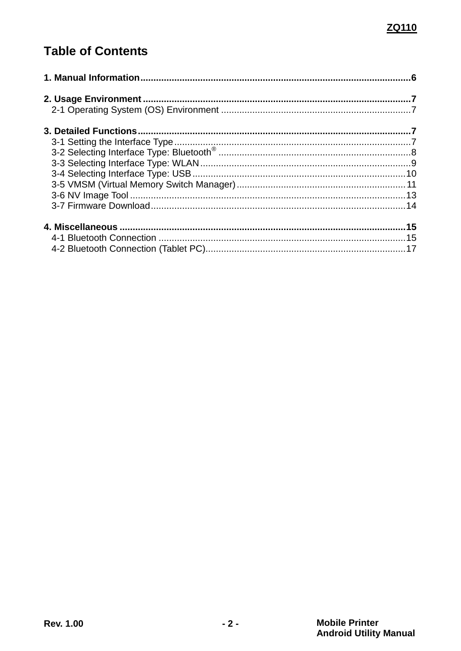### **Table of Contents**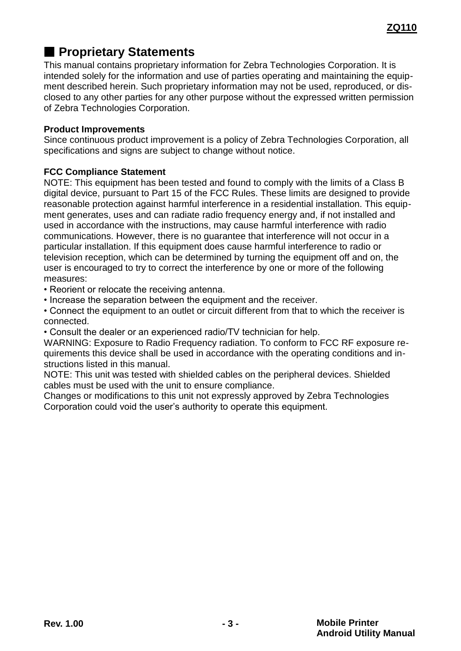### ■ **Proprietary Statements**

This manual contains proprietary information for Zebra Technologies Corporation. It is intended solely for the information and use of parties operating and maintaining the equipment described herein. Such proprietary information may not be used, reproduced, or disclosed to any other parties for any other purpose without the expressed written permission of Zebra Technologies Corporation.

### **Product Improvements**

Since continuous product improvement is a policy of Zebra Technologies Corporation, all specifications and signs are subject to change without notice.

### **FCC Compliance Statement**

NOTE: This equipment has been tested and found to comply with the limits of a Class B digital device, pursuant to Part 15 of the FCC Rules. These limits are designed to provide reasonable protection against harmful interference in a residential installation. This equipment generates, uses and can radiate radio frequency energy and, if not installed and used in accordance with the instructions, may cause harmful interference with radio communications. However, there is no guarantee that interference will not occur in a particular installation. If this equipment does cause harmful interference to radio or television reception, which can be determined by turning the equipment off and on, the user is encouraged to try to correct the interference by one or more of the following measures:

• Reorient or relocate the receiving antenna.

• Increase the separation between the equipment and the receiver.

• Connect the equipment to an outlet or circuit different from that to which the receiver is connected.

• Consult the dealer or an experienced radio/TV technician for help.

WARNING: Exposure to Radio Frequency radiation. To conform to FCC RF exposure requirements this device shall be used in accordance with the operating conditions and instructions listed in this manual.

NOTE: This unit was tested with shielded cables on the peripheral devices. Shielded cables must be used with the unit to ensure compliance.

Changes or modifications to this unit not expressly approved by Zebra Technologies Corporation could void the user's authority to operate this equipment.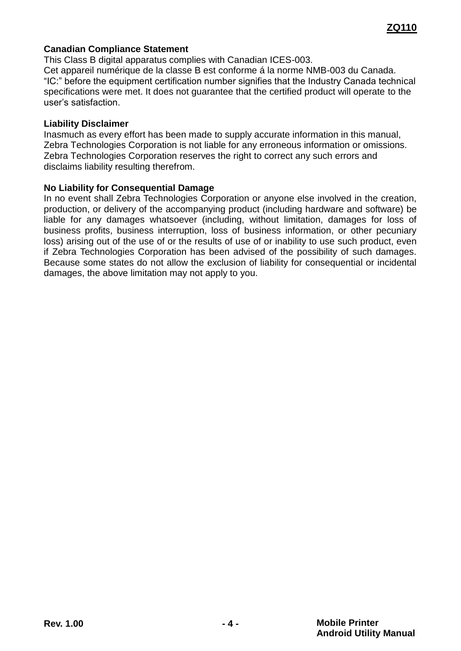#### **Canadian Compliance Statement**

This Class B digital apparatus complies with Canadian ICES-003. Cet appareil numérique de la classe B est conforme á la norme NMB-003 du Canada. "IC:" before the equipment certification number signifies that the Industry Canada technical specifications were met. It does not guarantee that the certified product will operate to the user's satisfaction.

#### **Liability Disclaimer**

Inasmuch as every effort has been made to supply accurate information in this manual, Zebra Technologies Corporation is not liable for any erroneous information or omissions. Zebra Technologies Corporation reserves the right to correct any such errors and disclaims liability resulting therefrom.

#### **No Liability for Consequential Damage**

In no event shall Zebra Technologies Corporation or anyone else involved in the creation, production, or delivery of the accompanying product (including hardware and software) be liable for any damages whatsoever (including, without limitation, damages for loss of business profits, business interruption, loss of business information, or other pecuniary loss) arising out of the use of or the results of use of or inability to use such product, even if Zebra Technologies Corporation has been advised of the possibility of such damages. Because some states do not allow the exclusion of liability for consequential or incidental damages, the above limitation may not apply to you.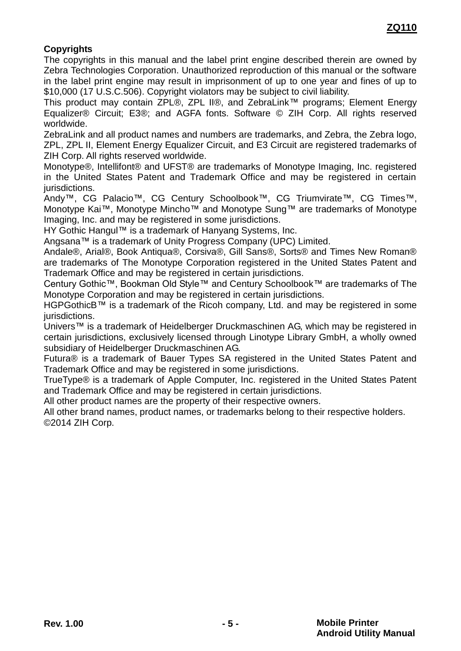### **Copyrights**

The copyrights in this manual and the label print engine described therein are owned by Zebra Technologies Corporation. Unauthorized reproduction of this manual or the software in the label print engine may result in imprisonment of up to one year and fines of up to \$10,000 (17 U.S.C.506). Copyright violators may be subject to civil liability.

This product may contain ZPL®, ZPL II®, and ZebraLink™ programs; Element Energy Equalizer® Circuit; E3®; and AGFA fonts. Software © ZIH Corp. All rights reserved worldwide.

ZebraLink and all product names and numbers are trademarks, and Zebra, the Zebra logo, ZPL, ZPL II, Element Energy Equalizer Circuit, and E3 Circuit are registered trademarks of ZIH Corp. All rights reserved worldwide.

Monotype®, Intellifont® and UFST® are trademarks of Monotype Imaging, Inc. registered in the United States Patent and Trademark Office and may be registered in certain jurisdictions.

Andy™, CG Palacio™, CG Century Schoolbook™, CG Triumvirate™, CG Times™, Monotype Kai™, Monotype Mincho™ and Monotype Sung™ are trademarks of Monotype Imaging, Inc. and may be registered in some jurisdictions.

HY Gothic Hangul™ is a trademark of Hanyang Systems, Inc.

Angsana™ is a trademark of Unity Progress Company (UPC) Limited.

Andale®, Arial®, Book Antiqua®, Corsiva®, Gill Sans®, Sorts® and Times New Roman® are trademarks of The Monotype Corporation registered in the United States Patent and Trademark Office and may be registered in certain jurisdictions.

Century Gothic™, Bookman Old Style™ and Century Schoolbook™ are trademarks of The Monotype Corporation and may be registered in certain jurisdictions.

HGPGothicB™ is a trademark of the Ricoh company, Ltd. and may be registered in some jurisdictions.

Univers™ is a trademark of Heidelberger Druckmaschinen AG, which may be registered in certain jurisdictions, exclusively licensed through Linotype Library GmbH, a wholly owned subsidiary of Heidelberger Druckmaschinen AG.

Futura® is a trademark of Bauer Types SA registered in the United States Patent and Trademark Office and may be registered in some jurisdictions.

TrueType® is a trademark of Apple Computer, Inc. registered in the United States Patent and Trademark Office and may be registered in certain jurisdictions.

All other product names are the property of their respective owners.

All other brand names, product names, or trademarks belong to their respective holders. ©2014 ZIH Corp.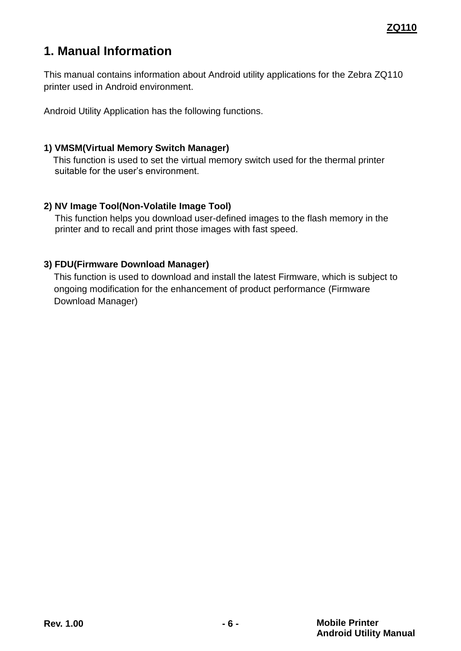### <span id="page-5-0"></span>**1. Manual Information**

This manual contains information about Android utility applications for the Zebra ZQ110 printer used in Android environment.

Android Utility Application has the following functions.

### **1) VMSM(Virtual Memory Switch Manager)**

This function is used to set the virtual memory switch used for the thermal printer suitable for the user's environment.

### **2) NV Image Tool(Non-Volatile Image Tool)**

This function helps you download user-defined images to the flash memory in the printer and to recall and print those images with fast speed.

### **3) FDU(Firmware Download Manager)**

This function is used to download and install the latest Firmware, which is subject to ongoing modification for the enhancement of product performance (Firmware Download Manager)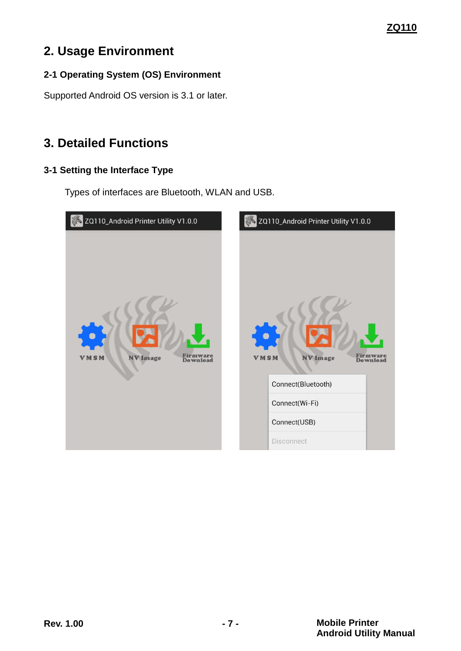### **ZQ110**

### <span id="page-6-0"></span>**2. Usage Environment**

### <span id="page-6-1"></span>**2-1 Operating System (OS) Environment**

Supported Android OS version is 3.1 or later.

### <span id="page-6-2"></span>**3. Detailed Functions**

### <span id="page-6-3"></span>**3-1 Setting the Interface Type**

Types of interfaces are Bluetooth, WLAN and USB.

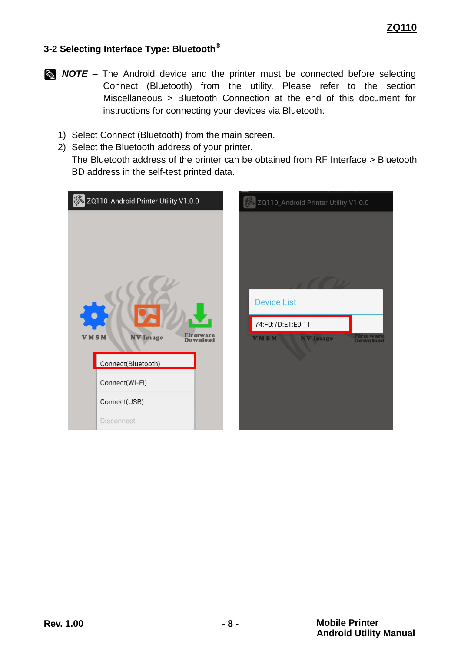### <span id="page-7-0"></span>**3-2 Selecting Interface Type: Bluetooth®**

- **NOTE** The Android device and the printer must be connected before selecting Connect (Bluetooth) from the utility. Please refer to the section Miscellaneous > Bluetooth Connection at the end of this document for instructions for connecting your devices via Bluetooth.
	- 1) Select Connect (Bluetooth) from the main screen.
	- 2) Select the Bluetooth address of your printer.
		- The Bluetooth address of the printer can be obtained from RF Interface > Bluetooth BD address in the self-test printed data.

| ZQ110_Android Printer Utility V1.0.0                                                                             | ZQ110_Android Printer Utility V1.0.0                                                       |
|------------------------------------------------------------------------------------------------------------------|--------------------------------------------------------------------------------------------|
| <b>NV</b> Image<br><b>VMSM</b><br>Download<br>Connect(Bluetooth)<br>Connect(Wi-Fi)<br>Connect(USB)<br>Disconnect | <b>Device List</b><br>74:F0:7D:E1:E9:11<br>Firmware<br>Download<br>VMSM<br><b>NV Image</b> |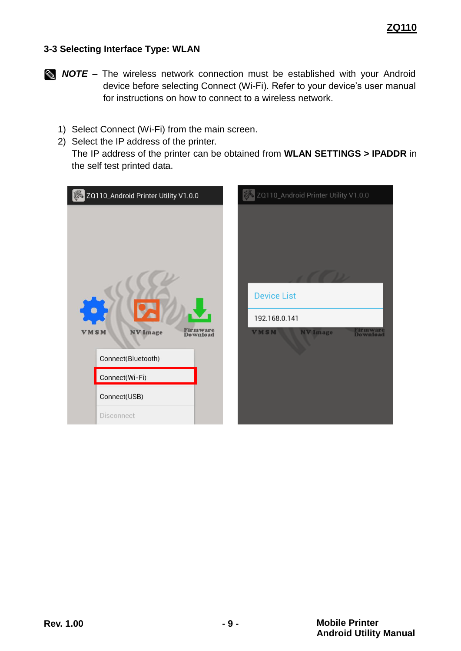### <span id="page-8-0"></span>**3-3 Selecting Interface Type: WLAN**

- **NOTE** The wireless network connection must be established with your Android device before selecting Connect (Wi-Fi). Refer to your device's user manual for instructions on how to connect to a wireless network.
	- 1) Select Connect (Wi-Fi) from the main screen.
	- 2) Select the IP address of the printer. The IP address of the printer can be obtained from **WLAN SETTINGS > IPADDR** in the self test printed data.

| ZQ110_Android Printer Utility V1.0.0                                                                                                | ZQ110_Android Printer Utility V1.0.0                                                          |
|-------------------------------------------------------------------------------------------------------------------------------------|-----------------------------------------------------------------------------------------------|
| Firmware<br><b>VMSM</b><br><b>NV</b> Image<br><b>Download</b><br>Connect(Bluetooth)<br>Connect(Wi-Fi)<br>Connect(USB)<br>Disconnect | <b>Device List</b><br>192.168.0.141<br>Firmware<br>Download<br><b>VMSM</b><br><b>NV Image</b> |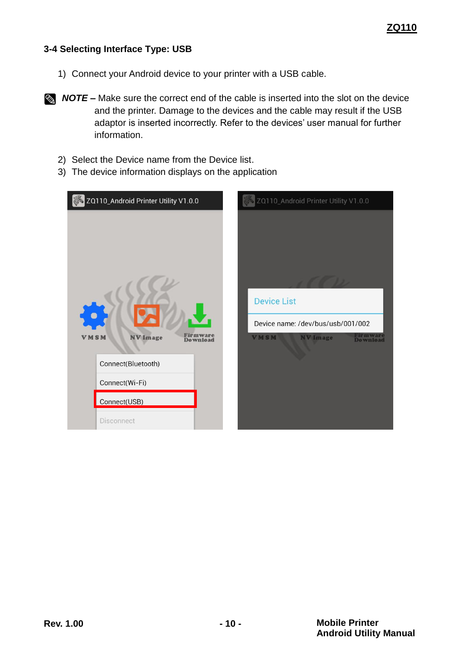### <span id="page-9-0"></span>**3-4 Selecting Interface Type: USB**

- 1) Connect your Android device to your printer with a USB cable.
- **NOTE** Make sure the correct end of the cable is inserted into the slot on the device and the printer. Damage to the devices and the cable may result if the USB adaptor is inserted incorrectly. Refer to the devices' user manual for further information.
	- 2) Select the Device name from the Device list.
	- 3) The device information displays on the application

| ZQ110_Android Printer Utility V1.0.0                                                                      | ZQ110_Android Printer Utility V1.0.0                                                                                            |
|-----------------------------------------------------------------------------------------------------------|---------------------------------------------------------------------------------------------------------------------------------|
| <b>NV</b> Image<br>VMSM<br>Download<br>Connect(Bluetooth)<br>Connect(Wi-Fi)<br>Connect(USB)<br>Disconnect | <b>Device List</b><br>Device name: /dev/bus/usb/001/002<br><b>Firmware</b><br><b>VMSM</b><br><b>NV Image</b><br><b>Download</b> |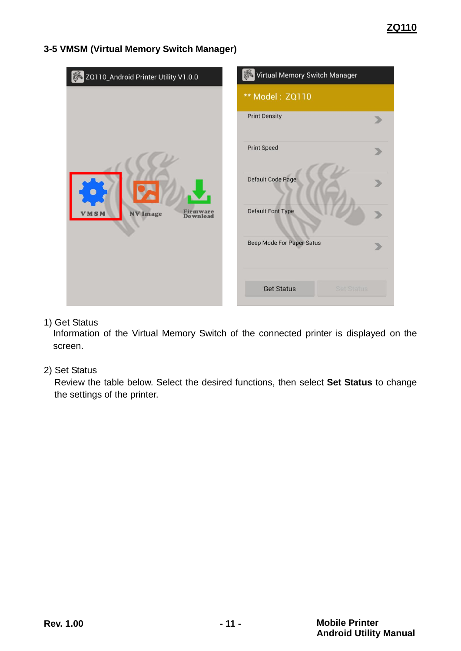### <span id="page-10-0"></span>**3-5 VMSM (Virtual Memory Switch Manager)**

| ZQ110_Android Printer Utility V1.0.0                  | Virtual Memory Switch Manager          |  |  |
|-------------------------------------------------------|----------------------------------------|--|--|
| Firmware<br><b>NV Image</b><br><b>MSM</b><br>Download | ** Model: ZQ110                        |  |  |
|                                                       | <b>Print Density</b>                   |  |  |
|                                                       | <b>Print Speed</b>                     |  |  |
|                                                       | Default Code Page                      |  |  |
|                                                       | <b>Default Font Type</b>               |  |  |
|                                                       | Beep Mode For Paper Satus              |  |  |
|                                                       | <b>Get Status</b><br><b>Set Status</b> |  |  |

### 1) Get Status

Information of the Virtual Memory Switch of the connected printer is displayed on the screen.

### 2) Set Status

Review the table below. Select the desired functions, then select **Set Status** to change the settings of the printer.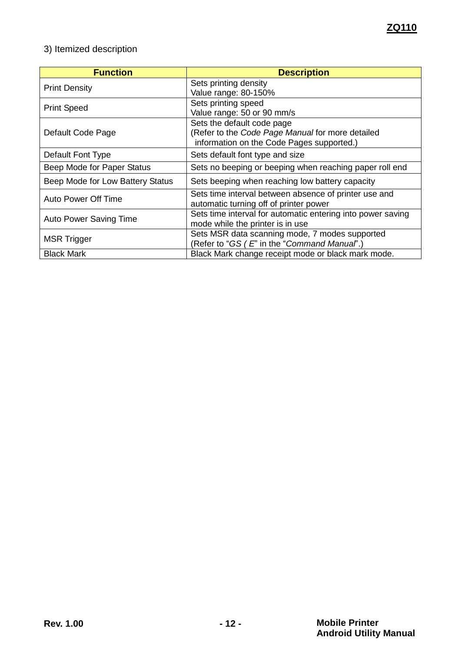### 3) Itemized description

<span id="page-11-0"></span>

| <b>Function</b>                  | <b>Description</b>                                          |
|----------------------------------|-------------------------------------------------------------|
| <b>Print Density</b>             | Sets printing density                                       |
|                                  | Value range: 80-150%                                        |
| <b>Print Speed</b>               | Sets printing speed                                         |
|                                  | Value range: 50 or 90 mm/s                                  |
|                                  | Sets the default code page                                  |
| Default Code Page                | (Refer to the Code Page Manual for more detailed            |
|                                  | information on the Code Pages supported.)                   |
| Default Font Type                | Sets default font type and size                             |
| Beep Mode for Paper Status       | Sets no beeping or beeping when reaching paper roll end     |
| Beep Mode for Low Battery Status | Sets beeping when reaching low battery capacity             |
|                                  | Sets time interval between absence of printer use and       |
| Auto Power Off Time              | automatic turning off of printer power                      |
| <b>Auto Power Saving Time</b>    | Sets time interval for automatic entering into power saving |
|                                  | mode while the printer is in use                            |
| <b>MSR Trigger</b>               | Sets MSR data scanning mode, 7 modes supported              |
|                                  | (Refer to "GS (E" in the "Command Manual".)                 |
| <b>Black Mark</b>                | Black Mark change receipt mode or black mark mode.          |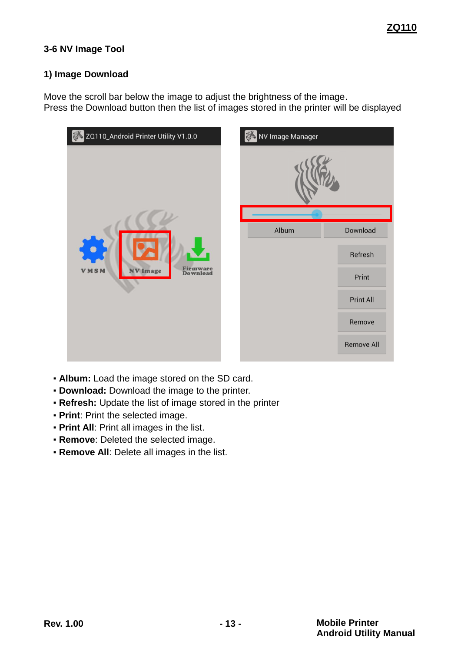### **3-6 NV Image Tool**

#### **1) Image Download**

Move the scroll bar below the image to adjust the brightness of the image. Press the Download button then the list of images stored in the printer will be displayed

| ZQ110_Android Printer Utility V1.0.0                          |  | NV Image Manager |                   |
|---------------------------------------------------------------|--|------------------|-------------------|
|                                                               |  |                  |                   |
|                                                               |  | Album            | Download          |
| <b>Firmware</b><br>Download<br><b>VMSM</b><br><b>NV</b> Image |  |                  |                   |
|                                                               |  |                  | Refresh           |
|                                                               |  |                  | Print             |
|                                                               |  |                  | Print All         |
|                                                               |  |                  | Remove            |
|                                                               |  |                  | <b>Remove All</b> |

- **Album:** Load the image stored on the SD card.
- **Download:** Download the image to the printer.
- **Refresh:** Update the list of image stored in the printer
- **Print**: Print the selected image.
- **Print All: Print all images in the list.**
- **Remove**: Deleted the selected image.
- **Remove All:** Delete all images in the list.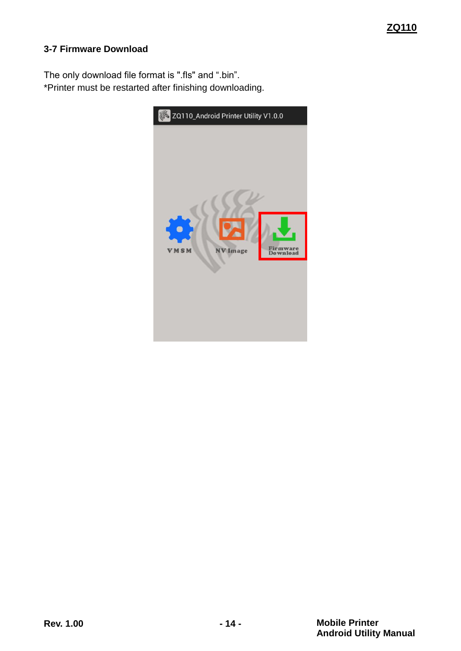### <span id="page-13-0"></span>**3-7 Firmware Download**

The only download file format is ".fls" and ".bin". \*Printer must be restarted after finishing downloading.

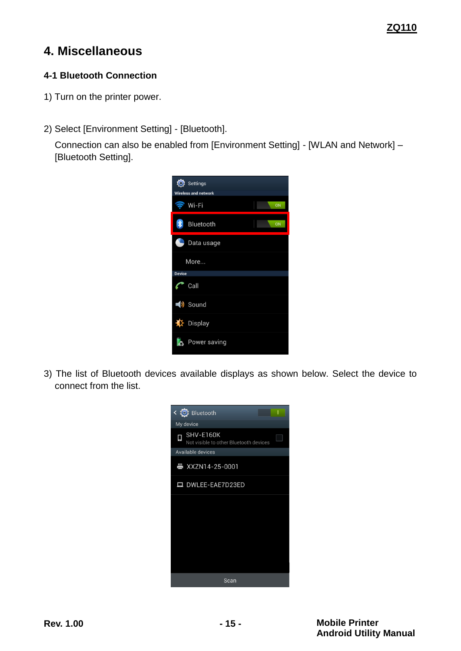### <span id="page-14-0"></span>**4. Miscellaneous**

### <span id="page-14-1"></span>**4-1 Bluetooth Connection**

- 1) Turn on the printer power.
- 2) Select [Environment Setting] [Bluetooth].

Connection can also be enabled from [Environment Setting] - [WLAN and Network] – [Bluetooth Setting].



3) The list of Bluetooth devices available displays as shown below. Select the device to connect from the list.

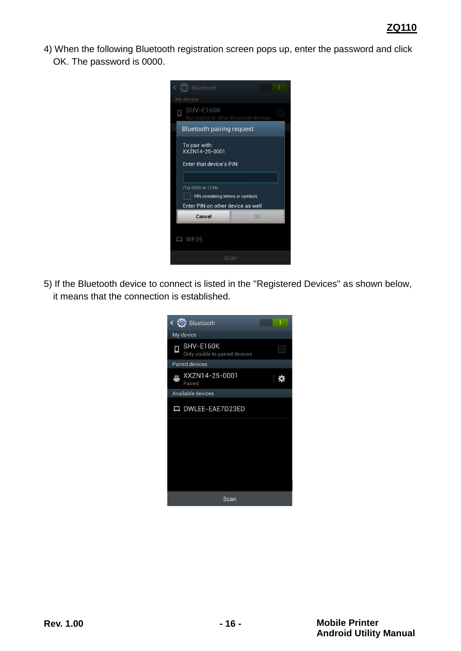4) When the following Bluetooth registration screen pops up, enter the password and click OK. The password is 0000.



5) If the Bluetooth device to connect is listed in the "Registered Devices" as shown below, it means that the connection is established.

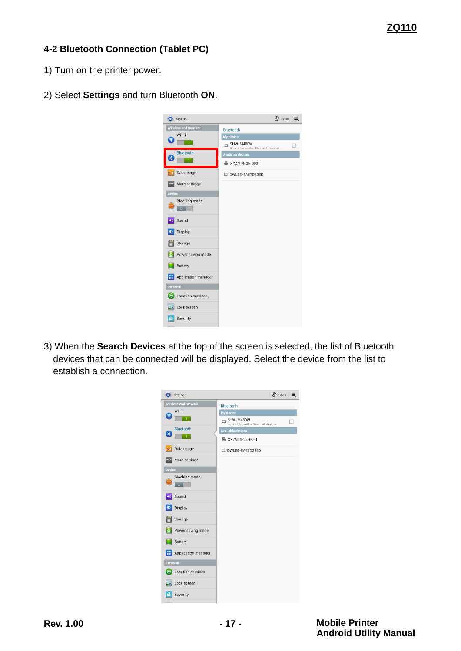### <span id="page-16-0"></span>**4-2 Bluetooth Connection (Tablet PC)**

- 1) Turn on the printer power.
- 2) Select **Settings** and turn Bluetooth **ON**.



3) When the **Search Devices** at the top of the screen is selected, the list of Bluetooth devices that can be connected will be displayed. Select the device from the list to establish a connection.